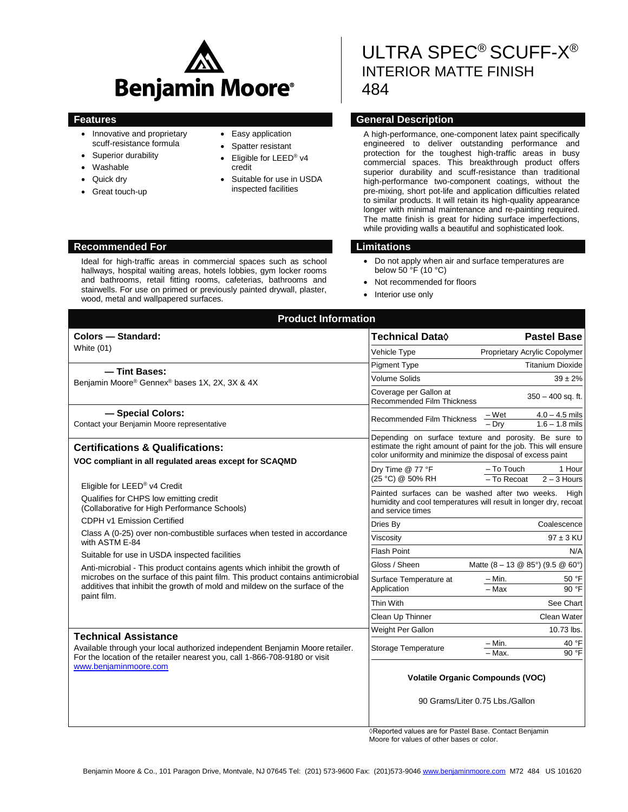

- Innovative and proprietary scuff-resistance formula
- Superior durability
- Washable
- Quick dry
- Great touch-up
- Easy application
- Spatter resistant
- Eligible for LEED® v4 credit
- Suitable for use in USDA inspected facilities

# ULTRA SPEC® SCUFF-X ® INTERIOR MATTE FINISH 484

## **Features General Description**

A high-performance, one-component latex paint specifically engineered to deliver outstanding performance and protection for the toughest high-traffic areas in busy commercial spaces. This breakthrough product offers superior durability and scuff-resistance than traditional high-performance two-component coatings, without the pre-mixing, short pot-life and application difficulties related to similar products. It will retain its high-quality appearance longer with minimal maintenance and re-painting required. The matte finish is great for hiding surface imperfections, while providing walls a beautiful and sophisticated look.

- Do not apply when air and surface temperatures are below  $50 \, \text{°F}$  (10 °C)
- Not recommended for floors
- Interior use only

| <b>Product Information</b>                                                                                                                                                                                                                                |                                                                                                                                                                                         |                                                      |
|-----------------------------------------------------------------------------------------------------------------------------------------------------------------------------------------------------------------------------------------------------------|-----------------------------------------------------------------------------------------------------------------------------------------------------------------------------------------|------------------------------------------------------|
| Colors - Standard:                                                                                                                                                                                                                                        | Technical Data◊                                                                                                                                                                         | <b>Pastel Base</b>                                   |
| White (01)                                                                                                                                                                                                                                                | <b>Vehicle Type</b>                                                                                                                                                                     | Proprietary Acrylic Copolymer                        |
| - Tint Bases:                                                                                                                                                                                                                                             | <b>Pigment Type</b>                                                                                                                                                                     | <b>Titanium Dioxide</b>                              |
| Benjamin Moore® Gennex® bases 1X, 2X, 3X & 4X                                                                                                                                                                                                             | <b>Volume Solids</b>                                                                                                                                                                    | $39 \pm 2\%$                                         |
|                                                                                                                                                                                                                                                           | Coverage per Gallon at<br><b>Recommended Film Thickness</b>                                                                                                                             | $350 - 400$ sq. ft.                                  |
| - Special Colors:<br>Contact your Benjamin Moore representative                                                                                                                                                                                           | Recommended Film Thickness                                                                                                                                                              | $4.0 - 4.5$ mils<br>– Wet<br>Drv<br>$1.6 - 1.8$ mils |
| <b>Certifications &amp; Qualifications:</b><br>VOC compliant in all regulated areas except for SCAQMD                                                                                                                                                     | Depending on surface texture and porosity. Be sure to<br>estimate the right amount of paint for the job. This will ensure<br>color uniformity and minimize the disposal of excess paint |                                                      |
| Eligible for LEED® v4 Credit                                                                                                                                                                                                                              | Dry Time @ 77 °F<br>(25 °C) @ 50% RH                                                                                                                                                    | - To Touch<br>1 Hour<br>$2 - 3$ Hours<br>- To Recoat |
| Qualifies for CHPS low emitting credit<br>(Collaborative for High Performance Schools)                                                                                                                                                                    | Painted surfaces can be washed after two weeks.<br>High<br>humidity and cool temperatures will result in longer dry, recoat<br>and service times                                        |                                                      |
| CDPH v1 Emission Certified<br>Class A (0-25) over non-combustible surfaces when tested in accordance<br>with ASTM E-84<br>Suitable for use in USDA inspected facilities                                                                                   | Dries By                                                                                                                                                                                | Coalescence                                          |
|                                                                                                                                                                                                                                                           | Viscosity                                                                                                                                                                               | $97 \pm 3$ KU                                        |
|                                                                                                                                                                                                                                                           | <b>Flash Point</b>                                                                                                                                                                      | N/A                                                  |
| Anti-microbial - This product contains agents which inhibit the growth of<br>microbes on the surface of this paint film. This product contains antimicrobial<br>additives that inhibit the growth of mold and mildew on the surface of the<br>paint film. | Gloss / Sheen                                                                                                                                                                           | Matte $(8 - 13 \& 85^{\circ})$ (9.5 $\&$ 60°)        |
|                                                                                                                                                                                                                                                           | Surface Temperature at<br>Application                                                                                                                                                   | $-$ Min.<br>50 °F<br>$-$ Max<br>90 °F                |
|                                                                                                                                                                                                                                                           | Thin With                                                                                                                                                                               | See Chart                                            |
|                                                                                                                                                                                                                                                           | Clean Up Thinner                                                                                                                                                                        | Clean Water                                          |
| <b>Technical Assistance</b><br>Available through your local authorized independent Benjamin Moore retailer.<br>For the location of the retailer nearest you, call 1-866-708-9180 or visit<br>www.benjaminmoore.com                                        | Weight Per Gallon                                                                                                                                                                       | 10.73 lbs.                                           |
|                                                                                                                                                                                                                                                           | Storage Temperature                                                                                                                                                                     | $-$ Min.<br>40 °F<br>90 °F<br>- Max.                 |
|                                                                                                                                                                                                                                                           | <b>Volatile Organic Compounds (VOC)</b>                                                                                                                                                 |                                                      |
|                                                                                                                                                                                                                                                           |                                                                                                                                                                                         | 90 Grams/Liter 0.75 Lbs./Gallon                      |
|                                                                                                                                                                                                                                                           | Departed values are for Dootel Base, Contact Benjamin                                                                                                                                   |                                                      |

◊Reported values are for Pastel Base. Contact Benjamin Moore for values of other bases or color.

### **Recommended For Limitations**

Ideal for high-traffic areas in commercial spaces such as school hallways, hospital waiting areas, hotels lobbies, gym locker rooms and bathrooms, retail fitting rooms, cafeterias, bathrooms and stairwells. For use on primed or previously painted drywall, plaster, wood, metal and wallpapered surfaces.